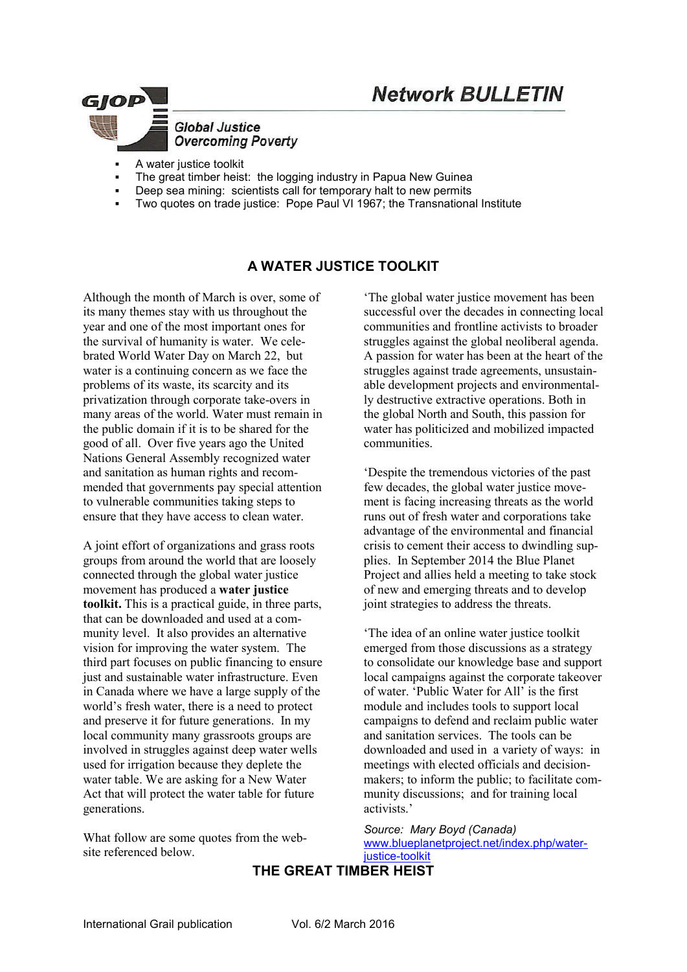

- A water justice toolkit
- The great timber heist: the logging industry in Papua New Guinea
- Deep sea mining: scientists call for temporary halt to new permits
- Two quotes on trade justice: Pope Paul VI 1967; the Transnational Institute

# **A WATER JUSTICE TOOLKIT**

Although the month of March is over, some of its many themes stay with us throughout the year and one of the most important ones for the survival of humanity is water. We celebrated World Water Day on March 22, but water is a continuing concern as we face the problems of its waste, its scarcity and its privatization through corporate take-overs in many areas of the world. Water must remain in the public domain if it is to be shared for the good of all. Over five years ago the United Nations General Assembly recognized water and sanitation as human rights and recommended that governments pay special attention to vulnerable communities taking steps to ensure that they have access to clean water.

A joint effort of organizations and grass roots groups from around the world that are loosely connected through the global water justice movement has produced a **water justice toolkit.** This is a practical guide, in three parts, that can be downloaded and used at a community level. It also provides an alternative vision for improving the water system. The third part focuses on public financing to ensure just and sustainable water infrastructure. Even in Canada where we have a large supply of the world's fresh water, there is a need to protect and preserve it for future generations. In my local community many grassroots groups are involved in struggles against deep water wells used for irrigation because they deplete the water table. We are asking for a New Water Act that will protect the water table for future generations.

What follow are some quotes from the website referenced below.

'The global water justice movement has been successful over the decades in connecting local communities and frontline activists to broader struggles against the global neoliberal agenda. A passion for water has been at the heart of the struggles against trade agreements, unsustainable development projects and environmentally destructive extractive operations. Both in the global North and South, this passion for water has politicized and mobilized impacted communities.

'Despite the tremendous victories of the past few decades, the global water justice movement is facing increasing threats as the world runs out of fresh water and corporations take advantage of the environmental and financial crisis to cement their access to dwindling supplies. In September 2014 the Blue Planet Project and allies held a meeting to take stock of new and emerging threats and to develop joint strategies to address the threats.

'The idea of an online water justice toolkit emerged from those discussions as a strategy to consolidate our knowledge base and support local campaigns against the corporate takeover of water. 'Public Water for All' is the first module and includes tools to support local campaigns to defend and reclaim public water and sanitation services. The tools can be downloaded and used in a variety of ways: in meetings with elected officials and decisionmakers; to inform the public; to facilitate community discussions; and for training local activists.'

*Source: Mary Boyd (Canada)*  www.blueplanetproject.net/index.php/water-

justice-toolkit

## **THE GREAT TIMBER HEIST**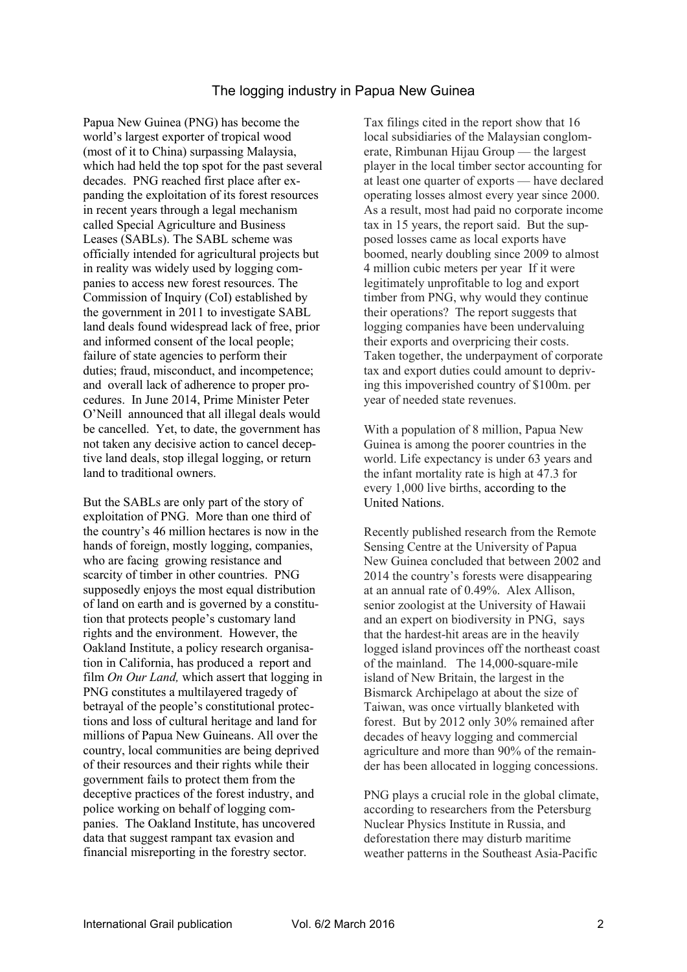## The logging industry in Papua New Guinea

Papua New Guinea (PNG) has become the world's largest exporter of tropical wood (most of it to China) surpassing Malaysia, which had held the top spot for the past several decades. PNG reached first place after expanding the exploitation of its forest resources in recent years through a legal mechanism called Special Agriculture and Business Leases (SABLs). The SABL scheme was officially intended for agricultural projects but in reality was widely used by logging companies to access new forest resources. The Commission of Inquiry (CoI) established by the government in 2011 to investigate SABL land deals found widespread lack of free, prior and informed consent of the local people; failure of state agencies to perform their duties; fraud, misconduct, and incompetence; and overall lack of adherence to proper procedures. In June 2014, Prime Minister Peter O'Neill announced that all illegal deals would be cancelled. Yet, to date, the government has not taken any decisive action to cancel deceptive land deals, stop illegal logging, or return land to traditional owners.

But the SABLs are only part of the story of exploitation of PNG. More than one third of the country's 46 million hectares is now in the hands of foreign, mostly logging, companies, who are facing growing resistance and scarcity of timber in other countries. PNG supposedly enjoys the most equal distribution of land on earth and is governed by a constitution that protects people's customary land rights and the environment. However, the Oakland Institute, a policy research organisation in California, has produced a report and film *On Our Land,* which assert that logging in PNG constitutes a multilayered tragedy of betrayal of the people's constitutional protections and loss of cultural heritage and land for millions of Papua New Guineans. All over the country, local communities are being deprived of their resources and their rights while their government fails to protect them from the deceptive practices of the forest industry, and police working on behalf of logging companies. The Oakland Institute, has uncovered data that suggest rampant tax evasion and financial misreporting in the forestry sector.

Tax filings cited in the report show that 16 local subsidiaries of the Malaysian conglomerate, Rimbunan Hijau Group — the largest player in the local timber sector accounting for at least one quarter of exports — have declared operating losses almost every year since 2000. As a result, most had paid no corporate income tax in 15 years, the report said. But the supposed losses came as local exports have boomed, nearly doubling since 2009 to almost 4 million cubic meters per year If it were legitimately unprofitable to log and export timber from PNG, why would they continue their operations? The report suggests that logging companies have been undervaluing their exports and overpricing their costs. Taken together, the underpayment of corporate tax and export duties could amount to depriving this impoverished country of \$100m. per year of needed state revenues.

With a population of 8 million, Papua New Guinea is among the poorer countries in the world. Life expectancy is under 63 years and the infant mortality rate is high at 47.3 for every 1,000 live births, according to the United Nations.

Recently published research from the Remote Sensing Centre at the University of Papua New Guinea concluded that between 2002 and 2014 the country's forests were disappearing at an annual rate of 0.49%. Alex Allison, senior zoologist at the University of Hawaii and an expert on biodiversity in PNG, says that the hardest-hit areas are in the heavily logged island provinces off the northeast coast of the mainland. The 14,000-square-mile island of New Britain, the largest in the Bismarck Archipelago at about the size of Taiwan, was once virtually blanketed with forest. But by 2012 only 30% remained after decades of heavy logging and commercial agriculture and more than 90% of the remainder has been allocated in logging concessions.

PNG plays a crucial role in the global climate, according to researchers from the Petersburg Nuclear Physics Institute in Russia, and deforestation there may disturb maritime weather patterns in the Southeast Asia-Pacific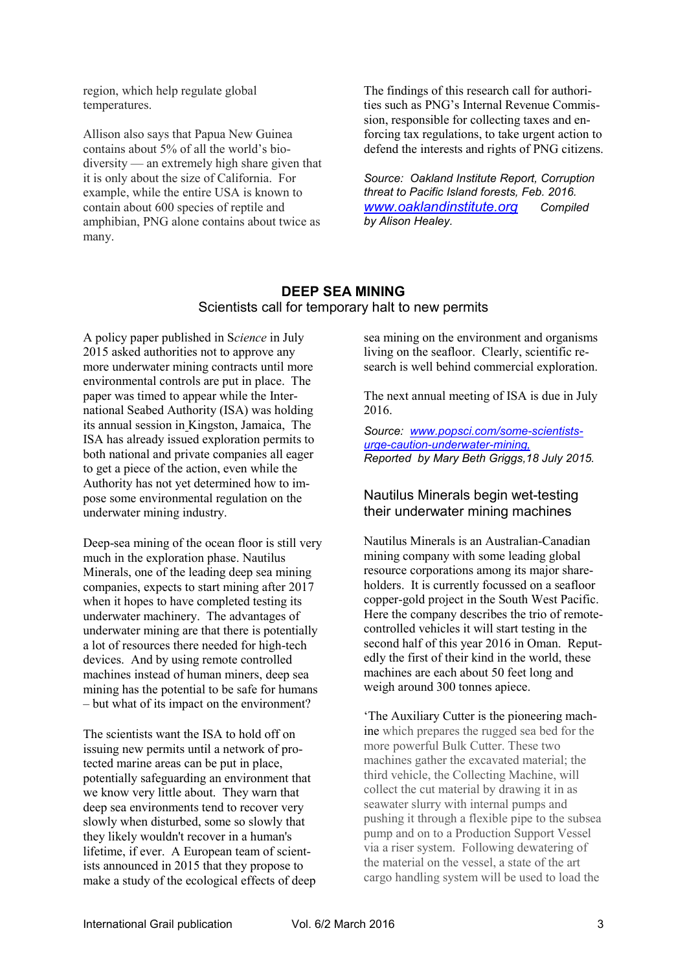region, which help regulate global temperatures.

Allison also says that Papua New Guinea contains about 5% of all the world's biodiversity — an extremely high share given that it is only about the size of California. For example, while the entire USA is known to contain about 600 species of reptile and amphibian, PNG alone contains about twice as many.

The findings of this research call for authorities such as PNG's Internal Revenue Commission, responsible for collecting taxes and enforcing tax regulations, to take urgent action to defend the interests and rights of PNG citizens.

*Source: Oakland Institute Report, Corruption threat to Pacific Island forests, Feb. 2016. www.oaklandinstitute.org Compiled by Alison Healey.*

### **DEEP SEA MINING** Scientists call for temporary halt to new permits

A policy paper published in S*cience* in July 2015 asked authorities not to approve any more underwater mining contracts until more environmental controls are put in place. The paper was timed to appear while the International Seabed Authority (ISA) was holding its annual session in Kingston, Jamaica, The ISA has already issued exploration permits to both national and private companies all eager to get a piece of the action, even while the Authority has not yet determined how to impose some environmental regulation on the underwater mining industry.

Deep-sea mining of the ocean floor is still very much in the exploration phase. Nautilus Minerals, one of the leading deep sea mining companies, expects to start mining after 2017 when it hopes to have completed testing its underwater machinery. The advantages of underwater mining are that there is potentially a lot of resources there needed for high-tech devices. And by using remote controlled machines instead of human miners, deep sea mining has the potential to be safe for humans – but what of its impact on the environment?

The scientists want the ISA to hold off on issuing new permits until a network of protected marine areas can be put in place, potentially safeguarding an environment that we know very little about. They warn that deep sea environments tend to recover very slowly when disturbed, some so slowly that they likely wouldn't recover in a human's lifetime, if ever. A European team of scientists announced in 2015 that they propose to make a study of the ecological effects of deep sea mining on the environment and organisms living on the seafloor. Clearly, scientific research is well behind commercial exploration.

The next annual meeting of ISA is due in July 2016.

*Source: www.popsci.com/some-scientistsurge-caution-underwater-mining, Reported by Mary Beth Griggs,18 July 2015.*

#### Nautilus Minerals begin wet-testing their underwater mining machines

Nautilus Minerals is an Australian-Canadian mining company with some leading global resource corporations among its major shareholders. It is currently focussed on a seafloor copper-gold project in the South West Pacific. Here the company describes the trio of remotecontrolled vehicles it will start testing in the second half of this year 2016 in Oman. Reputedly the first of their kind in the world, these machines are each about 50 feet long and weigh around 300 tonnes apiece.

'The Auxiliary Cutter is the pioneering machine which prepares the rugged sea bed for the more powerful Bulk Cutter. These two machines gather the excavated material; the third vehicle, the Collecting Machine, will collect the cut material by drawing it in as seawater slurry with internal pumps and pushing it through a flexible pipe to the subsea pump and on to a Production Support Vessel via a riser system. Following dewatering of the material on the vessel, a state of the art cargo handling system will be used to load the